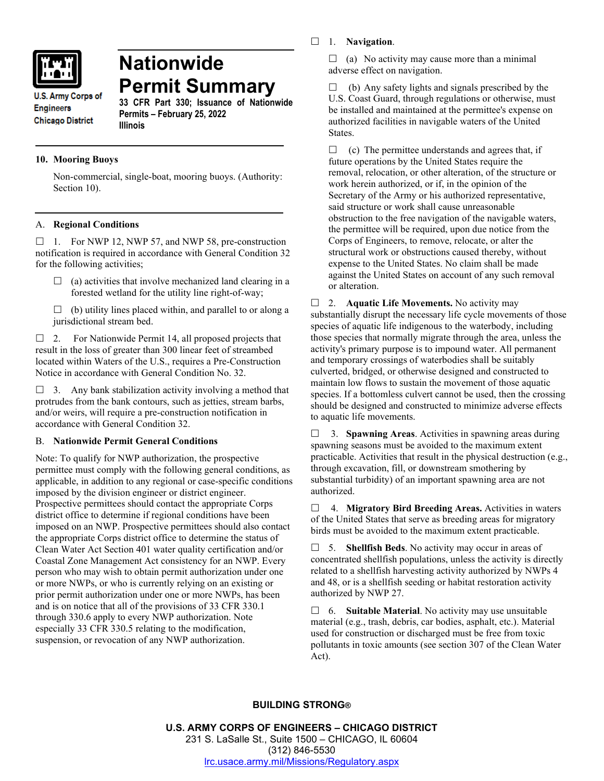

# **Nationwide Permit Summary**

**U.S. Army Corps of Engineers Chicago District** 

**33 CFR Part 330; Issuance of Nationwide Permits – February 25, 2022 Illinois**

# **10. Mooring Buoys**

Non-commercial, single-boat, mooring buoys. (Authority: Section 10).

# A. **Regional Conditions**

 $\Box$  1. For NWP 12, NWP 57, and NWP 58, pre-construction notification is required in accordance with General Condition 32 for the following activities;

 $\Box$  (a) activities that involve mechanized land clearing in a forested wetland for the utility line right-of-way;

 $\Box$  (b) utility lines placed within, and parallel to or along a jurisdictional stream bed.

 $\Box$  2. For Nationwide Permit 14, all proposed projects that result in the loss of greater than 300 linear feet of streambed located within Waters of the U.S., requires a Pre-Construction Notice in accordance with General Condition No. 32.

 $\Box$  3. Any bank stabilization activity involving a method that protrudes from the bank contours, such as jetties, stream barbs, and/or weirs, will require a pre-construction notification in accordance with General Condition 32.

# B. **Nationwide Permit General Conditions**

Note: To qualify for NWP authorization, the prospective permittee must comply with the following general conditions, as applicable, in addition to any regional or case-specific conditions imposed by the division engineer or district engineer. Prospective permittees should contact the appropriate Corps district office to determine if regional conditions have been imposed on an NWP. Prospective permittees should also contact the appropriate Corps district office to determine the status of Clean Water Act Section 401 water quality certification and/or Coastal Zone Management Act consistency for an NWP. Every person who may wish to obtain permit authorization under one or more NWPs, or who is currently relying on an existing or prior permit authorization under one or more NWPs, has been and is on notice that all of the provisions of 33 CFR 330.1 through 330.6 apply to every NWP authorization. Note especially 33 CFR 330.5 relating to the modification, suspension, or revocation of any NWP authorization.

1. **Navigation**.

 $\Box$  (a) No activity may cause more than a minimal adverse effect on navigation.

 $\Box$  (b) Any safety lights and signals prescribed by the U.S. Coast Guard, through regulations or otherwise, must be installed and maintained at the permittee's expense on authorized facilities in navigable waters of the United States.

 $\Box$  (c) The permittee understands and agrees that, if future operations by the United States require the removal, relocation, or other alteration, of the structure or work herein authorized, or if, in the opinion of the Secretary of the Army or his authorized representative, said structure or work shall cause unreasonable obstruction to the free navigation of the navigable waters, the permittee will be required, upon due notice from the Corps of Engineers, to remove, relocate, or alter the structural work or obstructions caused thereby, without expense to the United States. No claim shall be made against the United States on account of any such removal or alteration.

□ 2. **Aquatic Life Movements.** No activity may substantially disrupt the necessary life cycle movements of those species of aquatic life indigenous to the waterbody, including those species that normally migrate through the area, unless the activity's primary purpose is to impound water. All permanent and temporary crossings of waterbodies shall be suitably culverted, bridged, or otherwise designed and constructed to maintain low flows to sustain the movement of those aquatic species. If a bottomless culvert cannot be used, then the crossing should be designed and constructed to minimize adverse effects to aquatic life movements.

 3. **Spawning Areas**. Activities in spawning areas during spawning seasons must be avoided to the maximum extent practicable. Activities that result in the physical destruction (e.g., through excavation, fill, or downstream smothering by substantial turbidity) of an important spawning area are not authorized.

 4. **Migratory Bird Breeding Areas.** Activities in waters of the United States that serve as breeding areas for migratory birds must be avoided to the maximum extent practicable.

 5. **Shellfish Beds**. No activity may occur in areas of concentrated shellfish populations, unless the activity is directly related to a shellfish harvesting activity authorized by NWPs 4 and 48, or is a shellfish seeding or habitat restoration activity authorized by NWP 27.

 6. **Suitable Material**. No activity may use unsuitable material (e.g., trash, debris, car bodies, asphalt, etc.). Material used for construction or discharged must be free from toxic pollutants in toxic amounts (see section 307 of the Clean Water Act).

# **BUILDING STRONG®**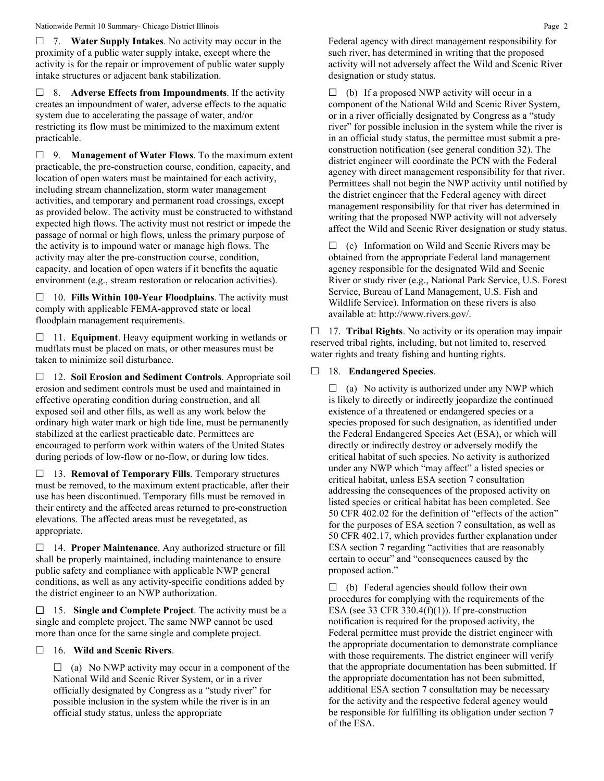7. **Water Supply Intakes**. No activity may occur in the proximity of a public water supply intake, except where the activity is for the repair or improvement of public water supply intake structures or adjacent bank stabilization.

 8. **Adverse Effects from Impoundments**. If the activity creates an impoundment of water, adverse effects to the aquatic system due to accelerating the passage of water, and/or restricting its flow must be minimized to the maximum extent practicable.

 9. **Management of Water Flows**. To the maximum extent practicable, the pre-construction course, condition, capacity, and location of open waters must be maintained for each activity, including stream channelization, storm water management activities, and temporary and permanent road crossings, except as provided below. The activity must be constructed to withstand expected high flows. The activity must not restrict or impede the passage of normal or high flows, unless the primary purpose of the activity is to impound water or manage high flows. The activity may alter the pre-construction course, condition, capacity, and location of open waters if it benefits the aquatic environment (e.g., stream restoration or relocation activities).

 10. **Fills Within 100-Year Floodplains**. The activity must comply with applicable FEMA-approved state or local floodplain management requirements.

□ 11. **Equipment**. Heavy equipment working in wetlands or mudflats must be placed on mats, or other measures must be taken to minimize soil disturbance.

 12. **Soil Erosion and Sediment Controls**. Appropriate soil erosion and sediment controls must be used and maintained in effective operating condition during construction, and all exposed soil and other fills, as well as any work below the ordinary high water mark or high tide line, must be permanently stabilized at the earliest practicable date. Permittees are encouraged to perform work within waters of the United States during periods of low-flow or no-flow, or during low tides.

 13. **Removal of Temporary Fills**. Temporary structures must be removed, to the maximum extent practicable, after their use has been discontinued. Temporary fills must be removed in their entirety and the affected areas returned to pre-construction elevations. The affected areas must be revegetated, as appropriate.

 14. **Proper Maintenance**. Any authorized structure or fill shall be properly maintained, including maintenance to ensure public safety and compliance with applicable NWP general conditions, as well as any activity-specific conditions added by the district engineer to an NWP authorization.

 15. **Single and Complete Project**. The activity must be a single and complete project. The same NWP cannot be used more than once for the same single and complete project.

# 16. **Wild and Scenic Rivers**.

 $\Box$  (a) No NWP activity may occur in a component of the National Wild and Scenic River System, or in a river officially designated by Congress as a "study river" for possible inclusion in the system while the river is in an official study status, unless the appropriate

Federal agency with direct management responsibility for such river, has determined in writing that the proposed activity will not adversely affect the Wild and Scenic River designation or study status.

 $\Box$  (b) If a proposed NWP activity will occur in a component of the National Wild and Scenic River System, or in a river officially designated by Congress as a "study river" for possible inclusion in the system while the river is in an official study status, the permittee must submit a preconstruction notification (see general condition 32). The district engineer will coordinate the PCN with the Federal agency with direct management responsibility for that river. Permittees shall not begin the NWP activity until notified by the district engineer that the Federal agency with direct management responsibility for that river has determined in writing that the proposed NWP activity will not adversely affect the Wild and Scenic River designation or study status.

 $\Box$  (c) Information on Wild and Scenic Rivers may be obtained from the appropriate Federal land management agency responsible for the designated Wild and Scenic River or study river (e.g., National Park Service, U.S. Forest Service, Bureau of Land Management, U.S. Fish and Wildlife Service). Information on these rivers is also available at: http://www.rivers.gov/.

 17. **Tribal Rights**. No activity or its operation may impair reserved tribal rights, including, but not limited to, reserved water rights and treaty fishing and hunting rights.

# 18. **Endangered Species**.

 $\Box$  (a) No activity is authorized under any NWP which is likely to directly or indirectly jeopardize the continued existence of a threatened or endangered species or a species proposed for such designation, as identified under the Federal Endangered Species Act (ESA), or which will directly or indirectly destroy or adversely modify the critical habitat of such species. No activity is authorized under any NWP which "may affect" a listed species or critical habitat, unless ESA section 7 consultation addressing the consequences of the proposed activity on listed species or critical habitat has been completed. See 50 CFR 402.02 for the definition of "effects of the action" for the purposes of ESA section 7 consultation, as well as 50 CFR 402.17, which provides further explanation under ESA section 7 regarding "activities that are reasonably certain to occur" and "consequences caused by the proposed action."

 $\Box$  (b) Federal agencies should follow their own procedures for complying with the requirements of the ESA (see 33 CFR 330.4 $(f)(1)$ ). If pre-construction notification is required for the proposed activity, the Federal permittee must provide the district engineer with the appropriate documentation to demonstrate compliance with those requirements. The district engineer will verify that the appropriate documentation has been submitted. If the appropriate documentation has not been submitted, additional ESA section 7 consultation may be necessary for the activity and the respective federal agency would be responsible for fulfilling its obligation under section 7 of the ESA.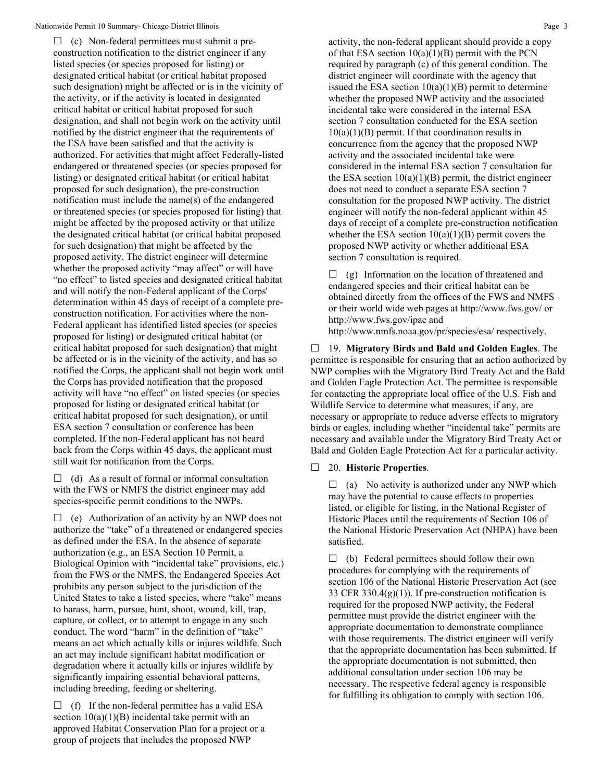$\Box$  (c) Non-federal permittees must submit a preconstruction notification to the district engineer if any listed species (or species proposed for listing) or designated critical habitat (or critical habitat proposed such designation) might be affected or is in the vicinity of the activity, or if the activity is located in designated critical habitat or critical habitat proposed for such designation, and shall not begin work on the activity until notified by the district engineer that the requirements of the ESA have been satisfied and that the activity is authorized. For activities that might affect Federally-listed endangered or threatened species (or species proposed for listing) or designated critical habitat (or critical habitat proposed for such designation), the pre-construction notification must include the name(s) of the endangered or threatened species (or species proposed for listing) that might be affected by the proposed activity or that utilize the designated critical habitat (or critical habitat proposed for such designation) that might be affected by the proposed activity. The district engineer will determine whether the proposed activity "may affect" or will have "no effect" to listed species and designated critical habitat and will notify the non-Federal applicant of the Corps' determination within 45 days of receipt of a complete preconstruction notification. For activities where the non-Federal applicant has identified listed species (or species proposed for listing) or designated critical habitat (or critical habitat proposed for such designation) that might be affected or is in the vicinity of the activity, and has so notified the Corps, the applicant shall not begin work until the Corps has provided notification that the proposed activity will have "no effect" on listed species (or species proposed for listing or designated critical habitat (or critical habitat proposed for such designation), or until ESA section 7 consultation or conference has been completed. If the non-Federal applicant has not heard back from the Corps within 45 days, the applicant must still wait for notification from the Corps.

 $\Box$  (d) As a result of formal or informal consultation with the FWS or NMFS the district engineer may add species-specific permit conditions to the NWPs.

 $\Box$  (e) Authorization of an activity by an NWP does not authorize the "take" of a threatened or endangered species as defined under the ESA. In the absence of separate authorization (e.g., an ESA Section 10 Permit, a Biological Opinion with "incidental take" provisions, etc.) from the FWS or the NMFS, the Endangered Species Act prohibits any person subject to the jurisdiction of the United States to take a listed species, where "take" means to harass, harm, pursue, hunt, shoot, wound, kill, trap, capture, or collect, or to attempt to engage in any such conduct. The word "harm" in the definition of "take" means an act which actually kills or injures wildlife. Such an act may include significant habitat modification or degradation where it actually kills or injures wildlife by significantly impairing essential behavioral patterns, including breeding, feeding or sheltering.

 $\Box$  (f) If the non-federal permittee has a valid ESA section  $10(a)(1)(B)$  incidental take permit with an approved Habitat Conservation Plan for a project or a group of projects that includes the proposed NWP

activity, the non-federal applicant should provide a copy of that ESA section  $10(a)(1)(B)$  permit with the PCN required by paragraph (c) of this general condition. The district engineer will coordinate with the agency that issued the ESA section  $10(a)(1)(B)$  permit to determine whether the proposed NWP activity and the associated incidental take were considered in the internal ESA section 7 consultation conducted for the ESA section  $10(a)(1)(B)$  permit. If that coordination results in concurrence from the agency that the proposed NWP activity and the associated incidental take were considered in the internal ESA section 7 consultation for the ESA section  $10(a)(1)(B)$  permit, the district engineer does not need to conduct a separate ESA section 7 consultation for the proposed NWP activity. The district engineer will notify the non-federal applicant within 45 days of receipt of a complete pre-construction notification whether the ESA section  $10(a)(1)(B)$  permit covers the proposed NWP activity or whether additional ESA section 7 consultation is required.

 $\Box$  (g) Information on the location of threatened and endangered species and their critical habitat can be obtained directly from the offices of the FWS and NMFS or their world wide web pages at http://www.fws.gov/ or http://www.fws.gov/ipac and

http://www.nmfs.noaa.gov/pr/species/esa/ respectively.

 19. **Migratory Birds and Bald and Golden Eagles**. The permittee is responsible for ensuring that an action authorized by NWP complies with the Migratory Bird Treaty Act and the Bald and Golden Eagle Protection Act. The permittee is responsible for contacting the appropriate local office of the U.S. Fish and Wildlife Service to determine what measures, if any, are necessary or appropriate to reduce adverse effects to migratory birds or eagles, including whether "incidental take" permits are necessary and available under the Migratory Bird Treaty Act or Bald and Golden Eagle Protection Act for a particular activity.

#### 20. **Historic Properties**.

 $\Box$  (a) No activity is authorized under any NWP which may have the potential to cause effects to properties listed, or eligible for listing, in the National Register of Historic Places until the requirements of Section 106 of the National Historic Preservation Act (NHPA) have been satisfied.

 $\Box$  (b) Federal permittees should follow their own procedures for complying with the requirements of section 106 of the National Historic Preservation Act (see 33 CFR 330.4 $(g)(1)$ ). If pre-construction notification is required for the proposed NWP activity, the Federal permittee must provide the district engineer with the appropriate documentation to demonstrate compliance with those requirements. The district engineer will verify that the appropriate documentation has been submitted. If the appropriate documentation is not submitted, then additional consultation under section 106 may be necessary. The respective federal agency is responsible for fulfilling its obligation to comply with section 106.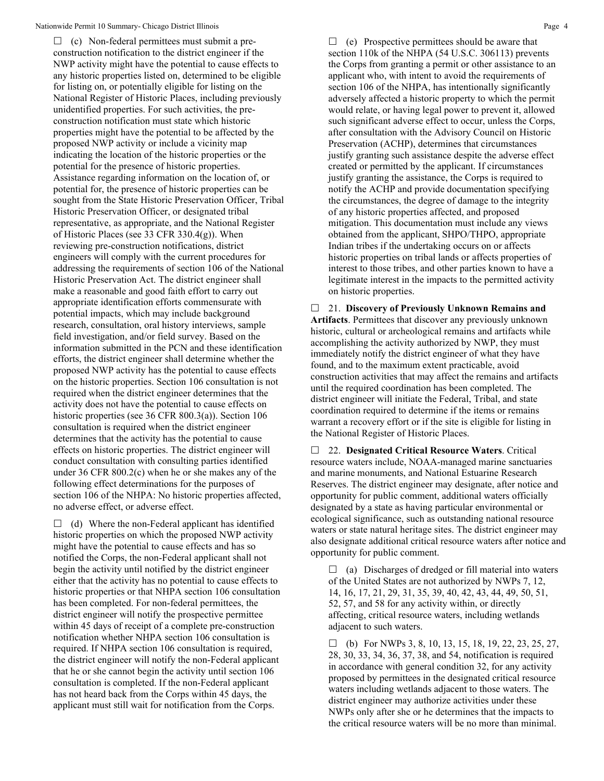$\Box$  (c) Non-federal permittees must submit a preconstruction notification to the district engineer if the NWP activity might have the potential to cause effects to any historic properties listed on, determined to be eligible for listing on, or potentially eligible for listing on the National Register of Historic Places, including previously unidentified properties. For such activities, the preconstruction notification must state which historic properties might have the potential to be affected by the proposed NWP activity or include a vicinity map indicating the location of the historic properties or the potential for the presence of historic properties. Assistance regarding information on the location of, or potential for, the presence of historic properties can be sought from the State Historic Preservation Officer, Tribal Historic Preservation Officer, or designated tribal representative, as appropriate, and the National Register of Historic Places (see 33 CFR 330.4(g)). When reviewing pre-construction notifications, district engineers will comply with the current procedures for addressing the requirements of section 106 of the National Historic Preservation Act. The district engineer shall make a reasonable and good faith effort to carry out appropriate identification efforts commensurate with potential impacts, which may include background research, consultation, oral history interviews, sample field investigation, and/or field survey. Based on the information submitted in the PCN and these identification efforts, the district engineer shall determine whether the proposed NWP activity has the potential to cause effects on the historic properties. Section 106 consultation is not required when the district engineer determines that the activity does not have the potential to cause effects on historic properties (see 36 CFR 800.3(a)). Section 106 consultation is required when the district engineer determines that the activity has the potential to cause effects on historic properties. The district engineer will conduct consultation with consulting parties identified under 36 CFR 800.2(c) when he or she makes any of the following effect determinations for the purposes of section 106 of the NHPA: No historic properties affected, no adverse effect, or adverse effect.

 $\Box$  (d) Where the non-Federal applicant has identified historic properties on which the proposed NWP activity might have the potential to cause effects and has so notified the Corps, the non-Federal applicant shall not begin the activity until notified by the district engineer either that the activity has no potential to cause effects to historic properties or that NHPA section 106 consultation has been completed. For non-federal permittees, the district engineer will notify the prospective permittee within 45 days of receipt of a complete pre-construction notification whether NHPA section 106 consultation is required. If NHPA section 106 consultation is required, the district engineer will notify the non-Federal applicant that he or she cannot begin the activity until section 106 consultation is completed. If the non-Federal applicant has not heard back from the Corps within 45 days, the applicant must still wait for notification from the Corps.

 $\Box$  (e) Prospective permittees should be aware that section 110k of the NHPA (54 U.S.C. 306113) prevents the Corps from granting a permit or other assistance to an applicant who, with intent to avoid the requirements of section 106 of the NHPA, has intentionally significantly adversely affected a historic property to which the permit would relate, or having legal power to prevent it, allowed such significant adverse effect to occur, unless the Corps, after consultation with the Advisory Council on Historic Preservation (ACHP), determines that circumstances justify granting such assistance despite the adverse effect created or permitted by the applicant. If circumstances justify granting the assistance, the Corps is required to notify the ACHP and provide documentation specifying the circumstances, the degree of damage to the integrity of any historic properties affected, and proposed mitigation. This documentation must include any views obtained from the applicant, SHPO/THPO, appropriate Indian tribes if the undertaking occurs on or affects historic properties on tribal lands or affects properties of interest to those tribes, and other parties known to have a legitimate interest in the impacts to the permitted activity on historic properties.

 21. **Discovery of Previously Unknown Remains and Artifacts**. Permittees that discover any previously unknown historic, cultural or archeological remains and artifacts while accomplishing the activity authorized by NWP, they must immediately notify the district engineer of what they have found, and to the maximum extent practicable, avoid construction activities that may affect the remains and artifacts until the required coordination has been completed. The district engineer will initiate the Federal, Tribal, and state coordination required to determine if the items or remains warrant a recovery effort or if the site is eligible for listing in the National Register of Historic Places.

 22. **Designated Critical Resource Waters**. Critical resource waters include, NOAA-managed marine sanctuaries and marine monuments, and National Estuarine Research Reserves. The district engineer may designate, after notice and opportunity for public comment, additional waters officially designated by a state as having particular environmental or ecological significance, such as outstanding national resource waters or state natural heritage sites. The district engineer may also designate additional critical resource waters after notice and opportunity for public comment.

 $\Box$  (a) Discharges of dredged or fill material into waters of the United States are not authorized by NWPs 7, 12, 14, 16, 17, 21, 29, 31, 35, 39, 40, 42, 43, 44, 49, 50, 51, 52, 57, and 58 for any activity within, or directly affecting, critical resource waters, including wetlands adjacent to such waters.

 $\Box$  (b) For NWPs 3, 8, 10, 13, 15, 18, 19, 22, 23, 25, 27, 28, 30, 33, 34, 36, 37, 38, and 54, notification is required in accordance with general condition 32, for any activity proposed by permittees in the designated critical resource waters including wetlands adjacent to those waters. The district engineer may authorize activities under these NWPs only after she or he determines that the impacts to the critical resource waters will be no more than minimal.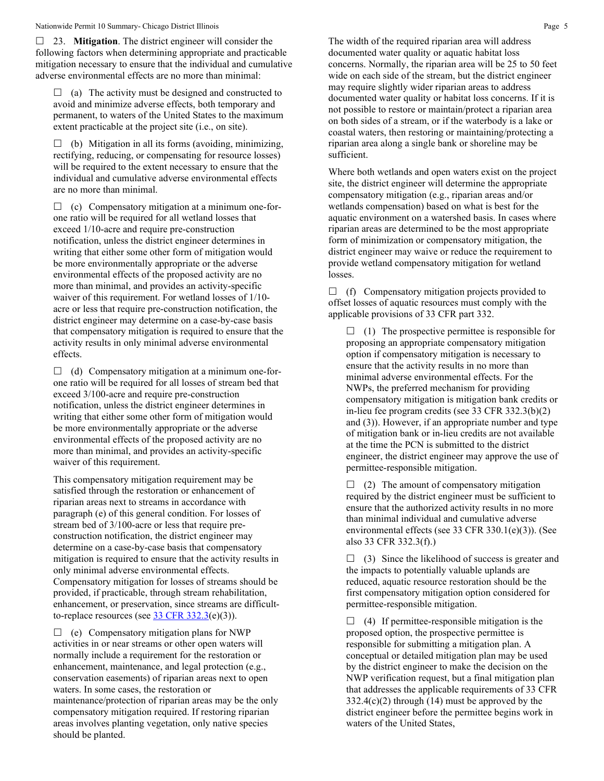23. **Mitigation**. The district engineer will consider the following factors when determining appropriate and practicable mitigation necessary to ensure that the individual and cumulative adverse environmental effects are no more than minimal:

 $\Box$  (a) The activity must be designed and constructed to avoid and minimize adverse effects, both temporary and permanent, to waters of the United States to the maximum extent practicable at the project site (i.e., on site).

 $\Box$  (b) Mitigation in all its forms (avoiding, minimizing, rectifying, reducing, or compensating for resource losses) will be required to the extent necessary to ensure that the individual and cumulative adverse environmental effects are no more than minimal.

 $\Box$  (c) Compensatory mitigation at a minimum one-forone ratio will be required for all wetland losses that exceed 1/10-acre and require pre-construction notification, unless the district engineer determines in writing that either some other form of mitigation would be more environmentally appropriate or the adverse environmental effects of the proposed activity are no more than minimal, and provides an activity-specific waiver of this requirement. For wetland losses of 1/10 acre or less that require pre-construction notification, the district engineer may determine on a case-by-case basis that compensatory mitigation is required to ensure that the activity results in only minimal adverse environmental effects.

 $\Box$  (d) Compensatory mitigation at a minimum one-forone ratio will be required for all losses of stream bed that exceed 3/100-acre and require pre-construction notification, unless the district engineer determines in writing that either some other form of mitigation would be more environmentally appropriate or the adverse environmental effects of the proposed activity are no more than minimal, and provides an activity-specific waiver of this requirement.

This compensatory mitigation requirement may be satisfied through the restoration or enhancement of riparian areas next to streams in accordance with paragraph (e) of this general condition. For losses of stream bed of 3/100-acre or less that require preconstruction notification, the district engineer may determine on a case-by-case basis that compensatory mitigation is required to ensure that the activity results in only minimal adverse environmental effects. Compensatory mitigation for losses of streams should be provided, if practicable, through stream rehabilitation, enhancement, or preservation, since streams are difficultto-replace resources (see  $33 \text{ CFR } 332.3(e)(3)$ ).

 $\Box$  (e) Compensatory mitigation plans for NWP activities in or near streams or other open waters will normally include a requirement for the restoration or enhancement, maintenance, and legal protection (e.g., conservation easements) of riparian areas next to open waters. In some cases, the restoration or maintenance/protection of riparian areas may be the only compensatory mitigation required. If restoring riparian areas involves planting vegetation, only native species should be planted.

The width of the required riparian area will address documented water quality or aquatic habitat loss concerns. Normally, the riparian area will be 25 to 50 feet wide on each side of the stream, but the district engineer may require slightly wider riparian areas to address documented water quality or habitat loss concerns. If it is not possible to restore or maintain/protect a riparian area on both sides of a stream, or if the waterbody is a lake or coastal waters, then restoring or maintaining/protecting a riparian area along a single bank or shoreline may be sufficient.

Where both wetlands and open waters exist on the project site, the district engineer will determine the appropriate compensatory mitigation (e.g., riparian areas and/or wetlands compensation) based on what is best for the aquatic environment on a watershed basis. In cases where riparian areas are determined to be the most appropriate form of minimization or compensatory mitigation, the district engineer may waive or reduce the requirement to provide wetland compensatory mitigation for wetland losses.

 $\Box$  (f) Compensatory mitigation projects provided to offset losses of aquatic resources must comply with the applicable provisions of 33 CFR part 332.

 $\Box$  (1) The prospective permittee is responsible for proposing an appropriate compensatory mitigation option if compensatory mitigation is necessary to ensure that the activity results in no more than minimal adverse environmental effects. For the NWPs, the preferred mechanism for providing compensatory mitigation is mitigation bank credits or in-lieu fee program credits (see 33 CFR 332.3(b)(2) and (3)). However, if an appropriate number and type of mitigation bank or in-lieu credits are not available at the time the PCN is submitted to the district engineer, the district engineer may approve the use of permittee-responsible mitigation.

 $\Box$  (2) The amount of compensatory mitigation required by the district engineer must be sufficient to ensure that the authorized activity results in no more than minimal individual and cumulative adverse environmental effects (see 33 CFR 330.1(e)(3)). (See also 33 CFR 332.3(f).)

 $\Box$  (3) Since the likelihood of success is greater and the impacts to potentially valuable uplands are reduced, aquatic resource restoration should be the first compensatory mitigation option considered for permittee-responsible mitigation.

 $\Box$  (4) If permittee-responsible mitigation is the proposed option, the prospective permittee is responsible for submitting a mitigation plan. A conceptual or detailed mitigation plan may be used by the district engineer to make the decision on the NWP verification request, but a final mitigation plan that addresses the applicable requirements of 33 CFR  $332.4(c)(2)$  through (14) must be approved by the district engineer before the permittee begins work in waters of the United States,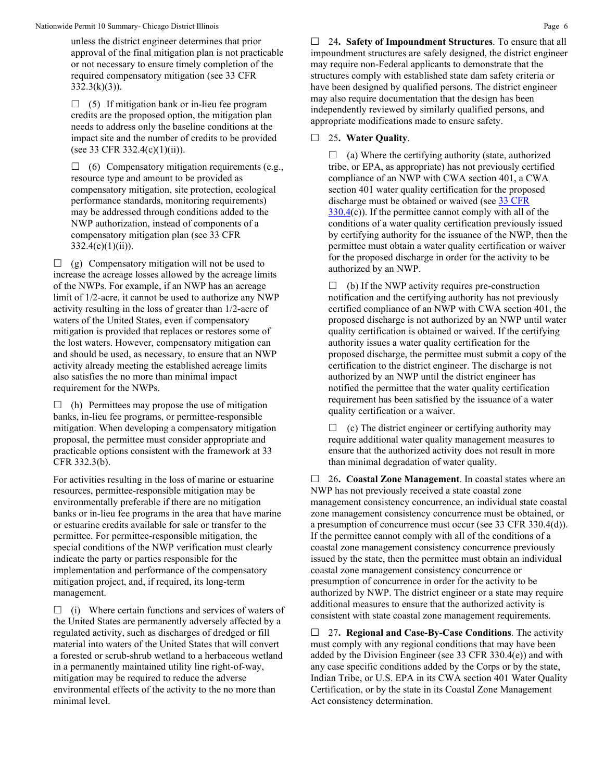unless the district engineer determines that prior approval of the final mitigation plan is not practicable or not necessary to ensure timely completion of the required compensatory mitigation (see 33 CFR  $332.3(k)(3)$ ).

 $\Box$  (5) If mitigation bank or in-lieu fee program credits are the proposed option, the mitigation plan needs to address only the baseline conditions at the impact site and the number of credits to be provided (see 33 CFR 332.4(c)(1)(ii)).

 $\Box$  (6) Compensatory mitigation requirements (e.g., resource type and amount to be provided as compensatory mitigation, site protection, ecological performance standards, monitoring requirements) may be addressed through conditions added to the NWP authorization, instead of components of a compensatory mitigation plan (see 33 CFR  $332.4(c)(1)(ii)$ .

 $\Box$  (g) Compensatory mitigation will not be used to increase the acreage losses allowed by the acreage limits of the NWPs. For example, if an NWP has an acreage limit of 1/2-acre, it cannot be used to authorize any NWP activity resulting in the loss of greater than 1/2-acre of waters of the United States, even if compensatory mitigation is provided that replaces or restores some of the lost waters. However, compensatory mitigation can and should be used, as necessary, to ensure that an NWP activity already meeting the established acreage limits also satisfies the no more than minimal impact requirement for the NWPs.

 $\Box$  (h) Permittees may propose the use of mitigation banks, in-lieu fee programs, or permittee-responsible mitigation. When developing a compensatory mitigation proposal, the permittee must consider appropriate and practicable options consistent with the framework at 33 CFR 332.3(b).

For activities resulting in the loss of marine or estuarine resources, permittee-responsible mitigation may be environmentally preferable if there are no mitigation banks or in-lieu fee programs in the area that have marine or estuarine credits available for sale or transfer to the permittee. For permittee-responsible mitigation, the special conditions of the NWP verification must clearly indicate the party or parties responsible for the implementation and performance of the compensatory mitigation project, and, if required, its long-term management.

 $\Box$  (i) Where certain functions and services of waters of the United States are permanently adversely affected by a regulated activity, such as discharges of dredged or fill material into waters of the United States that will convert a forested or scrub-shrub wetland to a herbaceous wetland in a permanently maintained utility line right-of-way, mitigation may be required to reduce the adverse environmental effects of the activity to the no more than minimal level.

# 25**. Water Quality**.

 $\Box$  (a) Where the certifying authority (state, authorized tribe, or EPA, as appropriate) has not previously certified compliance of an NWP with CWA section 401, a CWA section 401 water quality certification for the proposed discharge must be obtained or waived (see 33 CFR  $330.4(c)$  $330.4(c)$ ). If the permittee cannot comply with all of the conditions of a water quality certification previously issued by certifying authority for the issuance of the NWP, then the permittee must obtain a water quality certification or waiver for the proposed discharge in order for the activity to be authorized by an NWP.

 $\Box$  (b) If the NWP activity requires pre-construction notification and the certifying authority has not previously certified compliance of an NWP with CWA section 401, the proposed discharge is not authorized by an NWP until water quality certification is obtained or waived. If the certifying authority issues a water quality certification for the proposed discharge, the permittee must submit a copy of the certification to the district engineer. The discharge is not authorized by an NWP until the district engineer has notified the permittee that the water quality certification requirement has been satisfied by the issuance of a water quality certification or a waiver.

 $\Box$  (c) The district engineer or certifying authority may require additional water quality management measures to ensure that the authorized activity does not result in more than minimal degradation of water quality.

 26**. Coastal Zone Management**. In coastal states where an NWP has not previously received a state coastal zone management consistency concurrence, an individual state coastal zone management consistency concurrence must be obtained, or a presumption of concurrence must occur (see 33 CFR 330.4(d)). If the permittee cannot comply with all of the conditions of a coastal zone management consistency concurrence previously issued by the state, then the permittee must obtain an individual coastal zone management consistency concurrence or presumption of concurrence in order for the activity to be authorized by NWP. The district engineer or a state may require additional measures to ensure that the authorized activity is consistent with state coastal zone management requirements.

 27**. Regional and Case-By-Case Conditions**. The activity must comply with any regional conditions that may have been added by the Division Engineer (see 33 CFR 330.4(e)) and with any case specific conditions added by the Corps or by the state, Indian Tribe, or U.S. EPA in its CWA section 401 Water Quality Certification, or by the state in its Coastal Zone Management Act consistency determination.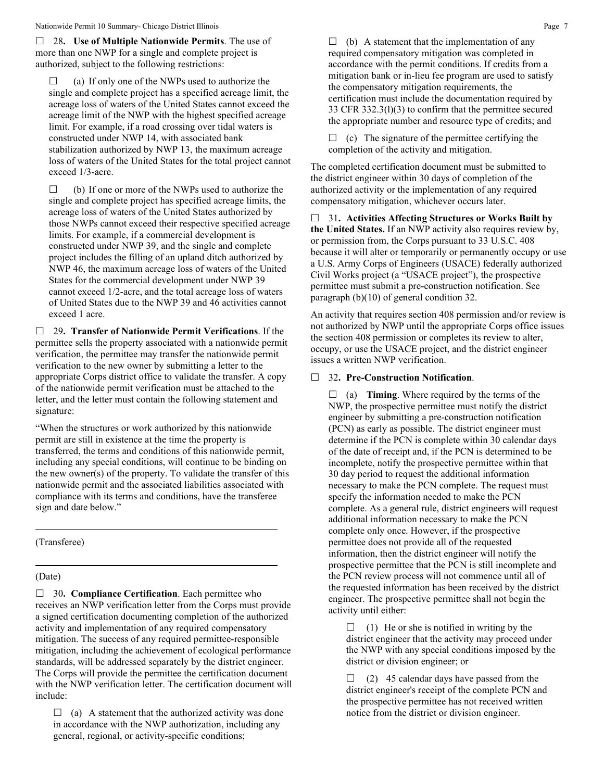28**. Use of Multiple Nationwide Permits**. The use of more than one NWP for a single and complete project is authorized, subject to the following restrictions:

 (a) If only one of the NWPs used to authorize the single and complete project has a specified acreage limit, the acreage loss of waters of the United States cannot exceed the acreage limit of the NWP with the highest specified acreage limit. For example, if a road crossing over tidal waters is constructed under NWP 14, with associated bank stabilization authorized by NWP 13, the maximum acreage loss of waters of the United States for the total project cannot exceed 1/3-acre.

 $\Box$  (b) If one or more of the NWPs used to authorize the single and complete project has specified acreage limits, the acreage loss of waters of the United States authorized by those NWPs cannot exceed their respective specified acreage limits. For example, if a commercial development is constructed under NWP 39, and the single and complete project includes the filling of an upland ditch authorized by NWP 46, the maximum acreage loss of waters of the United States for the commercial development under NWP 39 cannot exceed 1/2-acre, and the total acreage loss of waters of United States due to the NWP 39 and 46 activities cannot exceed 1 acre.

 29**. Transfer of Nationwide Permit Verifications**. If the permittee sells the property associated with a nationwide permit verification, the permittee may transfer the nationwide permit verification to the new owner by submitting a letter to the appropriate Corps district office to validate the transfer. A copy of the nationwide permit verification must be attached to the letter, and the letter must contain the following statement and signature:

"When the structures or work authorized by this nationwide permit are still in existence at the time the property is transferred, the terms and conditions of this nationwide permit, including any special conditions, will continue to be binding on the new owner(s) of the property. To validate the transfer of this nationwide permit and the associated liabilities associated with compliance with its terms and conditions, have the transferee sign and date below."

(Transferee)

# (Date)

□ 30. **Compliance Certification**. Each permittee who receives an NWP verification letter from the Corps must provide a signed certification documenting completion of the authorized activity and implementation of any required compensatory mitigation. The success of any required permittee-responsible mitigation, including the achievement of ecological performance standards, will be addressed separately by the district engineer. The Corps will provide the permittee the certification document with the NWP verification letter. The certification document will include:

 $\Box$  (a) A statement that the authorized activity was done in accordance with the NWP authorization, including any general, regional, or activity-specific conditions;

 $\Box$  (b) A statement that the implementation of any required compensatory mitigation was completed in accordance with the permit conditions. If credits from a mitigation bank or in-lieu fee program are used to satisfy the compensatory mitigation requirements, the certification must include the documentation required by 33 CFR 332.3(l)(3) to confirm that the permittee secured the appropriate number and resource type of credits; and

 $\Box$  (c) The signature of the permittee certifying the completion of the activity and mitigation.

The completed certification document must be submitted to the district engineer within 30 days of completion of the authorized activity or the implementation of any required compensatory mitigation, whichever occurs later.

 31**. Activities Affecting Structures or Works Built by the United States.** If an NWP activity also requires review by, or permission from, the Corps pursuant to 33 U.S.C. 408 because it will alter or temporarily or permanently occupy or use a U.S. Army Corps of Engineers (USACE) federally authorized Civil Works project (a "USACE project"), the prospective permittee must submit a pre-construction notification. See paragraph (b)(10) of general condition 32.

An activity that requires section 408 permission and/or review is not authorized by NWP until the appropriate Corps office issues the section 408 permission or completes its review to alter, occupy, or use the USACE project, and the district engineer issues a written NWP verification.

#### 32**. Pre-Construction Notification**.

 $\Box$  (a) **Timing**. Where required by the terms of the NWP, the prospective permittee must notify the district engineer by submitting a pre-construction notification (PCN) as early as possible. The district engineer must determine if the PCN is complete within 30 calendar days of the date of receipt and, if the PCN is determined to be incomplete, notify the prospective permittee within that 30 day period to request the additional information necessary to make the PCN complete. The request must specify the information needed to make the PCN complete. As a general rule, district engineers will request additional information necessary to make the PCN complete only once. However, if the prospective permittee does not provide all of the requested information, then the district engineer will notify the prospective permittee that the PCN is still incomplete and the PCN review process will not commence until all of the requested information has been received by the district engineer. The prospective permittee shall not begin the activity until either:

 $\Box$  (1) He or she is notified in writing by the district engineer that the activity may proceed under the NWP with any special conditions imposed by the district or division engineer; or

 $\Box$  (2) 45 calendar days have passed from the district engineer's receipt of the complete PCN and the prospective permittee has not received written notice from the district or division engineer.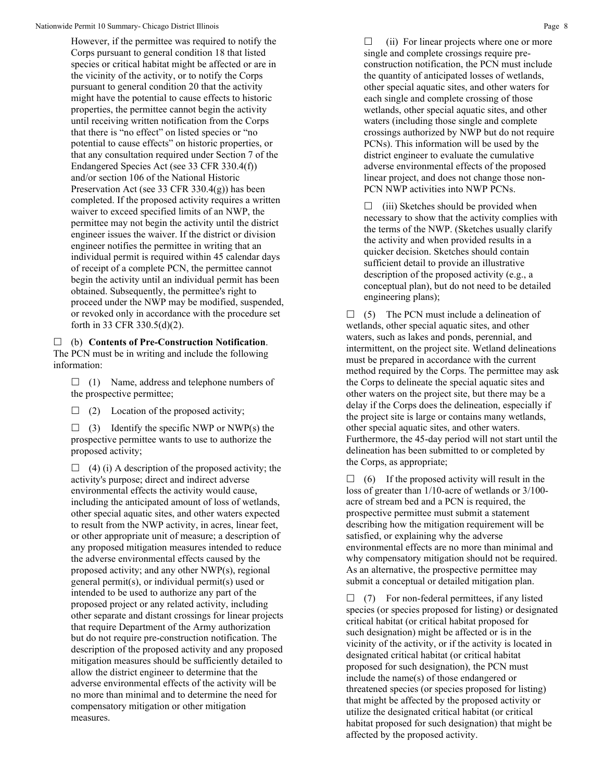However, if the permittee was required to notify the Corps pursuant to general condition 18 that listed species or critical habitat might be affected or are in the vicinity of the activity, or to notify the Corps pursuant to general condition 20 that the activity might have the potential to cause effects to historic properties, the permittee cannot begin the activity until receiving written notification from the Corps that there is "no effect" on listed species or "no potential to cause effects" on historic properties, or that any consultation required under Section 7 of the Endangered Species Act (see 33 CFR 330.4(f)) and/or section 106 of the National Historic Preservation Act (see 33 CFR 330.4(g)) has been completed. If the proposed activity requires a written waiver to exceed specified limits of an NWP, the permittee may not begin the activity until the district engineer issues the waiver. If the district or division engineer notifies the permittee in writing that an individual permit is required within 45 calendar days of receipt of a complete PCN, the permittee cannot begin the activity until an individual permit has been obtained. Subsequently, the permittee's right to proceed under the NWP may be modified, suspended, or revoked only in accordance with the procedure set forth in 33 CFR 330.5(d)(2).

 (b) **Contents of Pre-Construction Notification**. The PCN must be in writing and include the following information:

 $\Box$  (1) Name, address and telephone numbers of the prospective permittee;

 $\Box$  (2) Location of the proposed activity;

 $\Box$  (3) Identify the specific NWP or NWP(s) the prospective permittee wants to use to authorize the proposed activity;

 $\Box$  (4) (i) A description of the proposed activity; the activity's purpose; direct and indirect adverse environmental effects the activity would cause, including the anticipated amount of loss of wetlands, other special aquatic sites, and other waters expected to result from the NWP activity, in acres, linear feet, or other appropriate unit of measure; a description of any proposed mitigation measures intended to reduce the adverse environmental effects caused by the proposed activity; and any other NWP(s), regional general permit(s), or individual permit(s) used or intended to be used to authorize any part of the proposed project or any related activity, including other separate and distant crossings for linear projects that require Department of the Army authorization but do not require pre-construction notification. The description of the proposed activity and any proposed mitigation measures should be sufficiently detailed to allow the district engineer to determine that the adverse environmental effects of the activity will be no more than minimal and to determine the need for compensatory mitigation or other mitigation measures.

 $\Box$  (ii) For linear projects where one or more single and complete crossings require preconstruction notification, the PCN must include the quantity of anticipated losses of wetlands, other special aquatic sites, and other waters for each single and complete crossing of those wetlands, other special aquatic sites, and other waters (including those single and complete crossings authorized by NWP but do not require PCNs). This information will be used by the district engineer to evaluate the cumulative adverse environmental effects of the proposed linear project, and does not change those non-PCN NWP activities into NWP PCNs.

 $\Box$  (iii) Sketches should be provided when necessary to show that the activity complies with the terms of the NWP. (Sketches usually clarify the activity and when provided results in a quicker decision. Sketches should contain sufficient detail to provide an illustrative description of the proposed activity (e.g., a conceptual plan), but do not need to be detailed engineering plans);

 $\Box$  (5) The PCN must include a delineation of wetlands, other special aquatic sites, and other waters, such as lakes and ponds, perennial, and intermittent, on the project site. Wetland delineations must be prepared in accordance with the current method required by the Corps. The permittee may ask the Corps to delineate the special aquatic sites and other waters on the project site, but there may be a delay if the Corps does the delineation, especially if the project site is large or contains many wetlands, other special aquatic sites, and other waters. Furthermore, the 45-day period will not start until the delineation has been submitted to or completed by the Corps, as appropriate;

 $\Box$  (6) If the proposed activity will result in the loss of greater than 1/10-acre of wetlands or 3/100 acre of stream bed and a PCN is required, the prospective permittee must submit a statement describing how the mitigation requirement will be satisfied, or explaining why the adverse environmental effects are no more than minimal and why compensatory mitigation should not be required. As an alternative, the prospective permittee may submit a conceptual or detailed mitigation plan.

 $\Box$  (7) For non-federal permittees, if any listed species (or species proposed for listing) or designated critical habitat (or critical habitat proposed for such designation) might be affected or is in the vicinity of the activity, or if the activity is located in designated critical habitat (or critical habitat proposed for such designation), the PCN must include the name(s) of those endangered or threatened species (or species proposed for listing) that might be affected by the proposed activity or utilize the designated critical habitat (or critical habitat proposed for such designation) that might be affected by the proposed activity.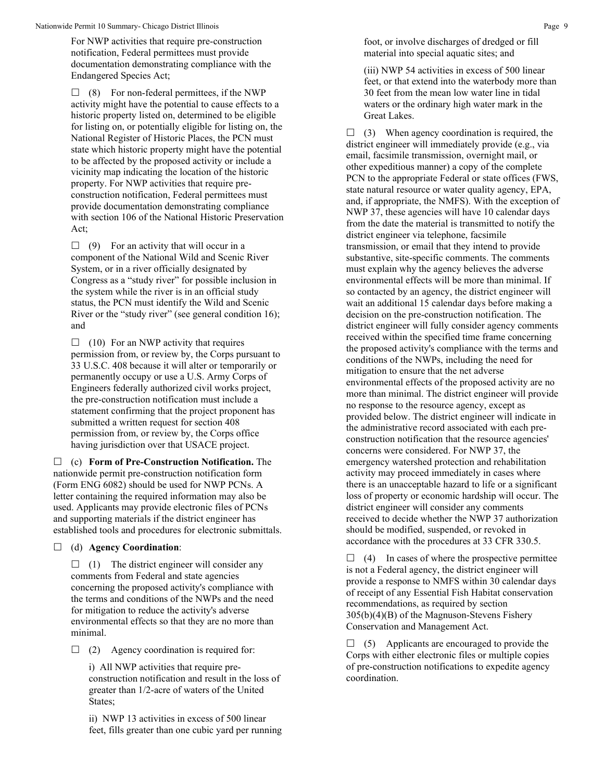For NWP activities that require pre-construction notification, Federal permittees must provide documentation demonstrating compliance with the Endangered Species Act;

 $\Box$  (8) For non-federal permittees, if the NWP activity might have the potential to cause effects to a historic property listed on, determined to be eligible for listing on, or potentially eligible for listing on, the National Register of Historic Places, the PCN must state which historic property might have the potential to be affected by the proposed activity or include a vicinity map indicating the location of the historic property. For NWP activities that require preconstruction notification, Federal permittees must provide documentation demonstrating compliance with section 106 of the National Historic Preservation Act;

 $\Box$  (9) For an activity that will occur in a component of the National Wild and Scenic River System, or in a river officially designated by Congress as a "study river" for possible inclusion in the system while the river is in an official study status, the PCN must identify the Wild and Scenic River or the "study river" (see general condition 16); and

 $\Box$  (10) For an NWP activity that requires permission from, or review by, the Corps pursuant to 33 U.S.C. 408 because it will alter or temporarily or permanently occupy or use a U.S. Army Corps of Engineers federally authorized civil works project, the pre-construction notification must include a statement confirming that the project proponent has submitted a written request for section 408 permission from, or review by, the Corps office having jurisdiction over that USACE project.

 (c) **Form of Pre-Construction Notification.** The nationwide permit pre-construction notification form (Form ENG 6082) should be used for NWP PCNs. A letter containing the required information may also be used. Applicants may provide electronic files of PCNs and supporting materials if the district engineer has established tools and procedures for electronic submittals.

# (d) **Agency Coordination**:

 $\Box$  (1) The district engineer will consider any comments from Federal and state agencies concerning the proposed activity's compliance with the terms and conditions of the NWPs and the need for mitigation to reduce the activity's adverse environmental effects so that they are no more than minimal.

 $\Box$  (2) Agency coordination is required for:

i) All NWP activities that require preconstruction notification and result in the loss of greater than 1/2-acre of waters of the United States;

ii) NWP 13 activities in excess of 500 linear feet, fills greater than one cubic yard per running foot, or involve discharges of dredged or fill material into special aquatic sites; and

(iii) NWP 54 activities in excess of 500 linear feet, or that extend into the waterbody more than 30 feet from the mean low water line in tidal waters or the ordinary high water mark in the Great Lakes.

 $\Box$  (3) When agency coordination is required, the district engineer will immediately provide (e.g., via email, facsimile transmission, overnight mail, or other expeditious manner) a copy of the complete PCN to the appropriate Federal or state offices (FWS, state natural resource or water quality agency, EPA, and, if appropriate, the NMFS). With the exception of NWP 37, these agencies will have 10 calendar days from the date the material is transmitted to notify the district engineer via telephone, facsimile transmission, or email that they intend to provide substantive, site-specific comments. The comments must explain why the agency believes the adverse environmental effects will be more than minimal. If so contacted by an agency, the district engineer will wait an additional 15 calendar days before making a decision on the pre-construction notification. The district engineer will fully consider agency comments received within the specified time frame concerning the proposed activity's compliance with the terms and conditions of the NWPs, including the need for mitigation to ensure that the net adverse environmental effects of the proposed activity are no more than minimal. The district engineer will provide no response to the resource agency, except as provided below. The district engineer will indicate in the administrative record associated with each preconstruction notification that the resource agencies' concerns were considered. For NWP 37, the emergency watershed protection and rehabilitation activity may proceed immediately in cases where there is an unacceptable hazard to life or a significant loss of property or economic hardship will occur. The district engineer will consider any comments received to decide whether the NWP 37 authorization should be modified, suspended, or revoked in accordance with the procedures at 33 CFR 330.5.

 $\Box$  (4) In cases of where the prospective permittee is not a Federal agency, the district engineer will provide a response to NMFS within 30 calendar days of receipt of any Essential Fish Habitat conservation recommendations, as required by section 305(b)(4)(B) of the Magnuson-Stevens Fishery Conservation and Management Act.

 $\Box$  (5) Applicants are encouraged to provide the Corps with either electronic files or multiple copies of pre-construction notifications to expedite agency coordination.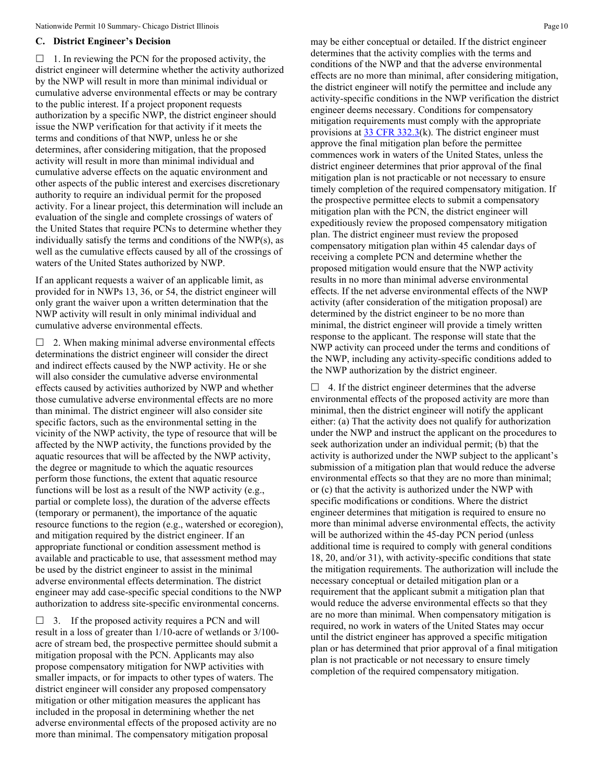#### **C. District Engineer's Decision**

 $\Box$  1. In reviewing the PCN for the proposed activity, the district engineer will determine whether the activity authorized by the NWP will result in more than minimal individual or cumulative adverse environmental effects or may be contrary to the public interest. If a project proponent requests authorization by a specific NWP, the district engineer should issue the NWP verification for that activity if it meets the terms and conditions of that NWP, unless he or she determines, after considering mitigation, that the proposed activity will result in more than minimal individual and cumulative adverse effects on the aquatic environment and other aspects of the public interest and exercises discretionary authority to require an individual permit for the proposed activity. For a linear project, this determination will include an evaluation of the single and complete crossings of waters of the United States that require PCNs to determine whether they individually satisfy the terms and conditions of the NWP(s), as well as the cumulative effects caused by all of the crossings of waters of the United States authorized by NWP.

If an applicant requests a waiver of an applicable limit, as provided for in NWPs 13, 36, or 54, the district engineer will only grant the waiver upon a written determination that the NWP activity will result in only minimal individual and cumulative adverse environmental effects.

 $\Box$  2. When making minimal adverse environmental effects determinations the district engineer will consider the direct and indirect effects caused by the NWP activity. He or she will also consider the cumulative adverse environmental effects caused by activities authorized by NWP and whether those cumulative adverse environmental effects are no more than minimal. The district engineer will also consider site specific factors, such as the environmental setting in the vicinity of the NWP activity, the type of resource that will be affected by the NWP activity, the functions provided by the aquatic resources that will be affected by the NWP activity, the degree or magnitude to which the aquatic resources perform those functions, the extent that aquatic resource functions will be lost as a result of the NWP activity (e.g., partial or complete loss), the duration of the adverse effects (temporary or permanent), the importance of the aquatic resource functions to the region (e.g., watershed or ecoregion), and mitigation required by the district engineer. If an appropriate functional or condition assessment method is available and practicable to use, that assessment method may be used by the district engineer to assist in the minimal adverse environmental effects determination. The district engineer may add case-specific special conditions to the NWP authorization to address site-specific environmental concerns.

 $\Box$  3. If the proposed activity requires a PCN and will result in a loss of greater than 1/10-acre of wetlands or 3/100 acre of stream bed, the prospective permittee should submit a mitigation proposal with the PCN. Applicants may also propose compensatory mitigation for NWP activities with smaller impacts, or for impacts to other types of waters. The district engineer will consider any proposed compensatory mitigation or other mitigation measures the applicant has included in the proposal in determining whether the net adverse environmental effects of the proposed activity are no more than minimal. The compensatory mitigation proposal

may be either conceptual or detailed. If the district engineer determines that the activity complies with the terms and conditions of the NWP and that the adverse environmental effects are no more than minimal, after considering mitigation, the district engineer will notify the permittee and include any activity-specific conditions in the NWP verification the district engineer deems necessary. Conditions for compensatory mitigation requirements must comply with the appropriate provisions at [33 CFR 332.3\(](https://www.federalregister.gov/select-citation/2021/01/13/33-CFR-332.3)k). The district engineer must approve the final mitigation plan before the permittee commences work in waters of the United States, unless the district engineer determines that prior approval of the final mitigation plan is not practicable or not necessary to ensure timely completion of the required compensatory mitigation. If the prospective permittee elects to submit a compensatory mitigation plan with the PCN, the district engineer will expeditiously review the proposed compensatory mitigation plan. The district engineer must review the proposed compensatory mitigation plan within 45 calendar days of receiving a complete PCN and determine whether the proposed mitigation would ensure that the NWP activity results in no more than minimal adverse environmental effects. If the net adverse environmental effects of the NWP activity (after consideration of the mitigation proposal) are determined by the district engineer to be no more than minimal, the district engineer will provide a timely written response to the applicant. The response will state that the NWP activity can proceed under the terms and conditions of the NWP, including any activity-specific conditions added to

 $\Box$  4. If the district engineer determines that the adverse environmental effects of the proposed activity are more than minimal, then the district engineer will notify the applicant either: (a) That the activity does not qualify for authorization under the NWP and instruct the applicant on the procedures to seek authorization under an individual permit; (b) that the activity is authorized under the NWP subject to the applicant's submission of a mitigation plan that would reduce the adverse environmental effects so that they are no more than minimal; or (c) that the activity is authorized under the NWP with specific modifications or conditions. Where the district engineer determines that mitigation is required to ensure no more than minimal adverse environmental effects, the activity will be authorized within the 45-day PCN period (unless additional time is required to comply with general conditions 18, 20, and/or 31), with activity-specific conditions that state the mitigation requirements. The authorization will include the necessary conceptual or detailed mitigation plan or a requirement that the applicant submit a mitigation plan that would reduce the adverse environmental effects so that they are no more than minimal. When compensatory mitigation is required, no work in waters of the United States may occur until the district engineer has approved a specific mitigation plan or has determined that prior approval of a final mitigation plan is not practicable or not necessary to ensure timely completion of the required compensatory mitigation.

the NWP authorization by the district engineer.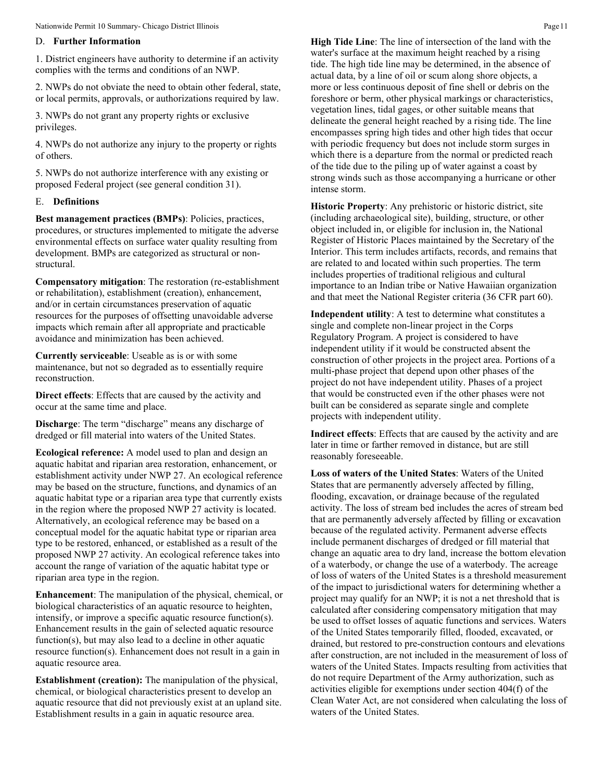# D. **Further Information**

1. District engineers have authority to determine if an activity complies with the terms and conditions of an NWP.

2. NWPs do not obviate the need to obtain other federal, state, or local permits, approvals, or authorizations required by law.

3. NWPs do not grant any property rights or exclusive privileges.

4. NWPs do not authorize any injury to the property or rights of others.

5. NWPs do not authorize interference with any existing or proposed Federal project (see general condition 31).

#### E. **Definitions**

**Best management practices (BMPs)**: Policies, practices, procedures, or structures implemented to mitigate the adverse environmental effects on surface water quality resulting from development. BMPs are categorized as structural or nonstructural.

**Compensatory mitigation**: The restoration (re-establishment or rehabilitation), establishment (creation), enhancement, and/or in certain circumstances preservation of aquatic resources for the purposes of offsetting unavoidable adverse impacts which remain after all appropriate and practicable avoidance and minimization has been achieved.

**Currently serviceable**: Useable as is or with some maintenance, but not so degraded as to essentially require reconstruction.

**Direct effects**: Effects that are caused by the activity and occur at the same time and place.

**Discharge**: The term "discharge" means any discharge of dredged or fill material into waters of the United States.

**Ecological reference:** A model used to plan and design an aquatic habitat and riparian area restoration, enhancement, or establishment activity under NWP 27. An ecological reference may be based on the structure, functions, and dynamics of an aquatic habitat type or a riparian area type that currently exists in the region where the proposed NWP 27 activity is located. Alternatively, an ecological reference may be based on a conceptual model for the aquatic habitat type or riparian area type to be restored, enhanced, or established as a result of the proposed NWP 27 activity. An ecological reference takes into account the range of variation of the aquatic habitat type or riparian area type in the region.

**Enhancement**: The manipulation of the physical, chemical, or biological characteristics of an aquatic resource to heighten, intensify, or improve a specific aquatic resource function(s). Enhancement results in the gain of selected aquatic resource function(s), but may also lead to a decline in other aquatic resource function(s). Enhancement does not result in a gain in aquatic resource area.

**Establishment (creation):** The manipulation of the physical, chemical, or biological characteristics present to develop an aquatic resource that did not previously exist at an upland site. Establishment results in a gain in aquatic resource area.

**High Tide Line**: The line of intersection of the land with the water's surface at the maximum height reached by a rising tide. The high tide line may be determined, in the absence of actual data, by a line of oil or scum along shore objects, a more or less continuous deposit of fine shell or debris on the foreshore or berm, other physical markings or characteristics, vegetation lines, tidal gages, or other suitable means that delineate the general height reached by a rising tide. The line encompasses spring high tides and other high tides that occur with periodic frequency but does not include storm surges in which there is a departure from the normal or predicted reach of the tide due to the piling up of water against a coast by strong winds such as those accompanying a hurricane or other intense storm.

**Historic Property**: Any prehistoric or historic district, site (including archaeological site), building, structure, or other object included in, or eligible for inclusion in, the National Register of Historic Places maintained by the Secretary of the Interior. This term includes artifacts, records, and remains that are related to and located within such properties. The term includes properties of traditional religious and cultural importance to an Indian tribe or Native Hawaiian organization and that meet the National Register criteria (36 CFR part 60).

**Independent utility**: A test to determine what constitutes a single and complete non-linear project in the Corps Regulatory Program. A project is considered to have independent utility if it would be constructed absent the construction of other projects in the project area. Portions of a multi-phase project that depend upon other phases of the project do not have independent utility. Phases of a project that would be constructed even if the other phases were not built can be considered as separate single and complete projects with independent utility.

**Indirect effects**: Effects that are caused by the activity and are later in time or farther removed in distance, but are still reasonably foreseeable.

**Loss of waters of the United States**: Waters of the United States that are permanently adversely affected by filling, flooding, excavation, or drainage because of the regulated activity. The loss of stream bed includes the acres of stream bed that are permanently adversely affected by filling or excavation because of the regulated activity. Permanent adverse effects include permanent discharges of dredged or fill material that change an aquatic area to dry land, increase the bottom elevation of a waterbody, or change the use of a waterbody. The acreage of loss of waters of the United States is a threshold measurement of the impact to jurisdictional waters for determining whether a project may qualify for an NWP; it is not a net threshold that is calculated after considering compensatory mitigation that may be used to offset losses of aquatic functions and services. Waters of the United States temporarily filled, flooded, excavated, or drained, but restored to pre-construction contours and elevations after construction, are not included in the measurement of loss of waters of the United States. Impacts resulting from activities that do not require Department of the Army authorization, such as activities eligible for exemptions under section 404(f) of the Clean Water Act, are not considered when calculating the loss of waters of the United States.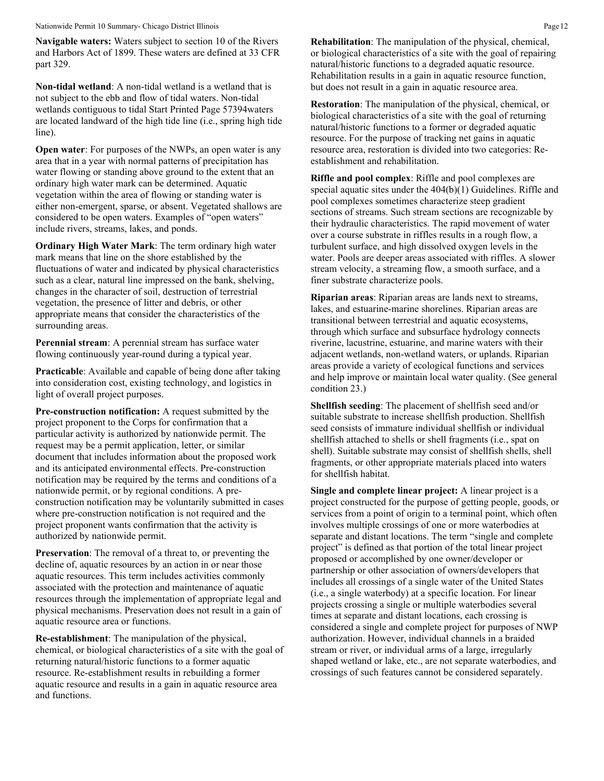**Navigable waters:** Waters subject to section 10 of the Rivers and Harbors Act of 1899. These waters are defined at 33 CFR part 329.

**Non-tidal wetland**: A non-tidal wetland is a wetland that is not subject to the ebb and flow of tidal waters. Non-tidal wetlands contiguous to tidal Start Printed Page 57394waters are located landward of the high tide line (i.e., spring high tide line).

**Open water:** For purposes of the NWPs, an open water is any area that in a year with normal patterns of precipitation has water flowing or standing above ground to the extent that an ordinary high water mark can be determined. Aquatic vegetation within the area of flowing or standing water is either non-emergent, sparse, or absent. Vegetated shallows are considered to be open waters. Examples of "open waters" include rivers, streams, lakes, and ponds.

**Ordinary High Water Mark**: The term ordinary high water mark means that line on the shore established by the fluctuations of water and indicated by physical characteristics such as a clear, natural line impressed on the bank, shelving, changes in the character of soil, destruction of terrestrial vegetation, the presence of litter and debris, or other appropriate means that consider the characteristics of the surrounding areas.

**Perennial stream**: A perennial stream has surface water flowing continuously year-round during a typical year.

**Practicable:** Available and capable of being done after taking into consideration cost, existing technology, and logistics in light of overall project purposes.

**Pre-construction notification:** A request submitted by the project proponent to the Corps for confirmation that a particular activity is authorized by nationwide permit. The request may be a permit application, letter, or similar document that includes information about the proposed work and its anticipated environmental effects. Pre-construction notification may be required by the terms and conditions of a nationwide permit, or by regional conditions. A preconstruction notification may be voluntarily submitted in cases where pre-construction notification is not required and the project proponent wants confirmation that the activity is authorized by nationwide permit.

**Preservation**: The removal of a threat to, or preventing the decline of, aquatic resources by an action in or near those aquatic resources. This term includes activities commonly associated with the protection and maintenance of aquatic resources through the implementation of appropriate legal and physical mechanisms. Preservation does not result in a gain of aquatic resource area or functions.

**Re-establishment**: The manipulation of the physical, chemical, or biological characteristics of a site with the goal of returning natural/historic functions to a former aquatic resource. Re-establishment results in rebuilding a former aquatic resource and results in a gain in aquatic resource area and functions.

**Rehabilitation**: The manipulation of the physical, chemical, or biological characteristics of a site with the goal of repairing natural/historic functions to a degraded aquatic resource. Rehabilitation results in a gain in aquatic resource function, but does not result in a gain in aquatic resource area.

**Restoration**: The manipulation of the physical, chemical, or biological characteristics of a site with the goal of returning natural/historic functions to a former or degraded aquatic resource. For the purpose of tracking net gains in aquatic resource area, restoration is divided into two categories: Reestablishment and rehabilitation.

**Riffle and pool complex**: Riffle and pool complexes are special aquatic sites under the 404(b)(1) Guidelines. Riffle and pool complexes sometimes characterize steep gradient sections of streams. Such stream sections are recognizable by their hydraulic characteristics. The rapid movement of water over a course substrate in riffles results in a rough flow, a turbulent surface, and high dissolved oxygen levels in the water. Pools are deeper areas associated with riffles. A slower stream velocity, a streaming flow, a smooth surface, and a finer substrate characterize pools.

**Riparian areas**: Riparian areas are lands next to streams, lakes, and estuarine-marine shorelines. Riparian areas are transitional between terrestrial and aquatic ecosystems, through which surface and subsurface hydrology connects riverine, lacustrine, estuarine, and marine waters with their adjacent wetlands, non-wetland waters, or uplands. Riparian areas provide a variety of ecological functions and services and help improve or maintain local water quality. (See general condition 23.)

**Shellfish seeding**: The placement of shellfish seed and/or suitable substrate to increase shellfish production. Shellfish seed consists of immature individual shellfish or individual shellfish attached to shells or shell fragments (i.e., spat on shell). Suitable substrate may consist of shellfish shells, shell fragments, or other appropriate materials placed into waters for shellfish habitat.

**Single and complete linear project:** A linear project is a project constructed for the purpose of getting people, goods, or services from a point of origin to a terminal point, which often involves multiple crossings of one or more waterbodies at separate and distant locations. The term "single and complete project" is defined as that portion of the total linear project proposed or accomplished by one owner/developer or partnership or other association of owners/developers that includes all crossings of a single water of the United States (i.e., a single waterbody) at a specific location. For linear projects crossing a single or multiple waterbodies several times at separate and distant locations, each crossing is considered a single and complete project for purposes of NWP authorization. However, individual channels in a braided stream or river, or individual arms of a large, irregularly shaped wetland or lake, etc., are not separate waterbodies, and crossings of such features cannot be considered separately.